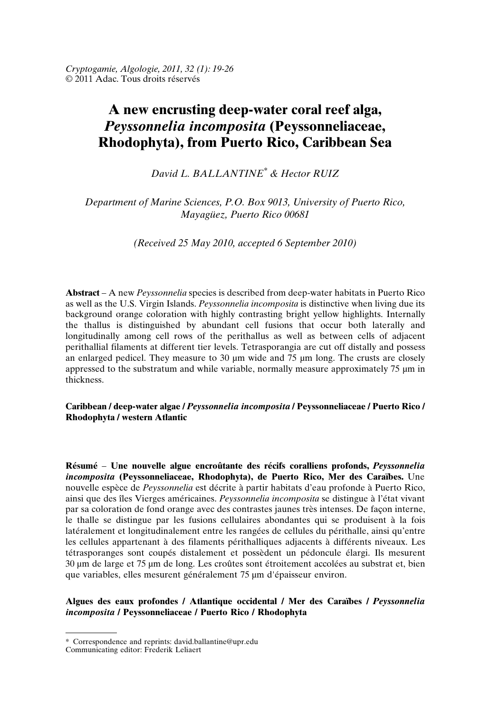# **A new encrusting deep-water coral reef alga,** *Peyssonnelia incomposita* **(Peyssonneliaceae, Rhodophyta), from Puerto Rico, Caribbean Sea**

*David L. BALLANTINE\* & Hector RUIZ*

*Department of Marine Sciences, P.O. Box 9013, University of Puerto Rico, Mayagüez, Puerto Rico 00681*

*(Received 25 May 2010, accepted 6 September 2010)*

**Abstract** – A new *Peyssonnelia* species is described from deep-water habitats in Puerto Rico as well as the U.S. Virgin Islands. *Peyssonnelia incomposita* is distinctive when living due its background orange coloration with highly contrasting bright yellow highlights. Internally the thallus is distinguished by abundant cell fusions that occur both laterally and longitudinally among cell rows of the perithallus as well as between cells of adjacent perithallial filaments at different tier levels. Tetrasporangia are cut off distally and possess an enlarged pedicel. They measure to  $30 \mu m$  wide and  $75 \mu m$  long. The crusts are closely appressed to the substratum and while variable, normally measure approximately 75 µm in thickness.

## **Caribbean / deep-water algae /** *Peyssonnelia incomposita* **/ Peyssonneliaceae / Puerto Rico / Rhodophyta / western Atlantic**

**Résumé** – **Une nouvelle algue encroûtante des récifs coralliens profonds,** *Peyssonnelia incomposita* **(Peyssonneliaceae, Rhodophyta), de Puerto Rico, Mer des Caraïbes.** Une nouvelle espèce de *Peyssonnelia* est décrite à partir habitats d'eau profonde à Puerto Rico, ainsi que des îles Vierges américaines. *Peyssonnelia incomposita* se distingue à l'état vivant par sa coloration de fond orange avec des contrastes jaunes très intenses. De façon interne, le thalle se distingue par les fusions cellulaires abondantes qui se produisent à la fois latéralement et longitudinalement entre les rangées de cellules du périthalle, ainsi qu'entre les cellules appartenant à des filaments périthalliques adjacents à différents niveaux. Les tétrasporanges sont coupés distalement et possèdent un pédoncule élargi. Ils mesurent 30 µm de large et 75 µm de long. Les croûtes sont étroitement accolées au substrat et, bien que variables, elles mesurent généralement 75 µm d'épaisseur environ.

# **Algues des eaux profondes / Atlantique occidental / Mer des Caraïbes /** *Peyssonnelia incomposita* **/ Peyssonneliaceae / Puerto Rico / Rhodophyta**

<sup>\*</sup> Correspondence and reprints: david.ballantine@upr.edu

Communicating editor: Frederik Leliaert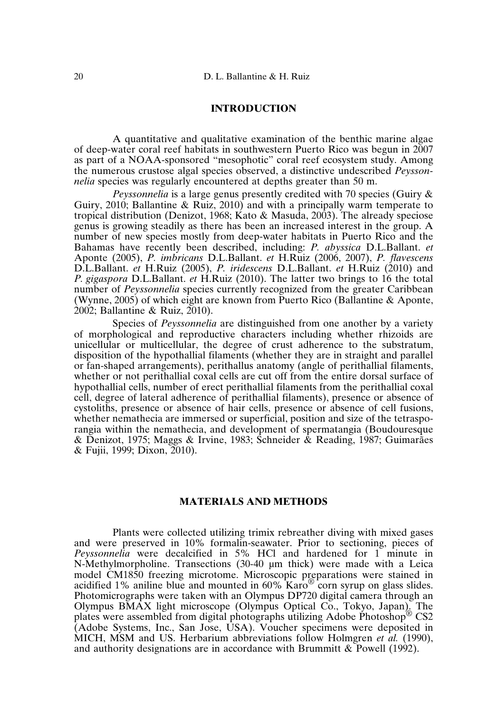# **INTRODUCTION**

A quantitative and qualitative examination of the benthic marine algae of deep-water coral reef habitats in southwestern Puerto Rico was begun in 2007 as part of a NOAA-sponsored "mesophotic" coral reef ecosystem study. Among the numerous crustose algal species observed, a distinctive undescribed *Peyssonnelia* species was regularly encountered at depths greater than 50 m.

*Peyssonnelia* is a large genus presently credited with 70 species (Guiry & Guiry, 2010; Ballantine & Ruiz, 2010) and with a principally warm temperate to tropical distribution (Denizot, 1968; Kato & Masuda, 2003). The already speciose genus is growing steadily as there has been an increased interest in the group. A number of new species mostly from deep-water habitats in Puerto Rico and the Bahamas have recently been described, including: *P. abyssica* D.L.Ballant. *et* Aponte (2005), *P. imbricans* D.L.Ballant. *et* H.Ruiz (2006, 2007), *P. flavescens* D.L.Ballant. *et* H.Ruiz (2005), *P. iridescens* D.L.Ballant. *et* H.Ruiz (2010) and *P. gigaspora* D.L.Ballant. *et* H.Ruiz (2010). The latter two brings to 16 the total number of *Peyssonnelia* species currently recognized from the greater Caribbean (Wynne, 2005) of which eight are known from Puerto Rico (Ballantine & Aponte, 2002; Ballantine & Ruiz, 2010).

Species of *Peyssonnelia* are distinguished from one another by a variety of morphological and reproductive characters including whether rhizoids are unicellular or multicellular, the degree of crust adherence to the substratum, disposition of the hypothallial filaments (whether they are in straight and parallel or fan-shaped arrangements), perithallus anatomy (angle of perithallial filaments, whether or not perithallial coxal cells are cut off from the entire dorsal surface of hypothallial cells, number of erect perithallial filaments from the perithallial coxal cell, degree of lateral adherence of perithallial filaments), presence or absence of cystoliths, presence or absence of hair cells, presence or absence of cell fusions, whether nemathecia are immersed or superficial, position and size of the tetrasporangia within the nemathecia, and development of spermatangia (Boudouresque & Denizot, 1975; Maggs & Irvine, 1983; Schneider & Reading, 1987; Guimarães & Fujii, 1999; Dixon, 2010).

# **MATERIALS AND METHODS**

Plants were collected utilizing trimix rebreather diving with mixed gases and were preserved in 10% formalin-seawater. Prior to sectioning, pieces of *Peyssonnelia* were decalcified in 5% HCl and hardened for 1 minute in N-Methylmorpholine. Transections (30-40 µm thick) were made with a Leica model CM1850 freezing microtome. Microscopic preparations were stained in acidified 1% aniline blue and mounted in 60% Karo® corn syrup on glass slides. Photomicrographs were taken with an Olympus DP720 digital camera through an Olympus BMAX light microscope (Olympus Optical Co., Tokyo, Japan). The plates were assembled from digital photographs utilizing Adobe Photoshop® CS2 (Adobe Systems, Inc., San Jose, USA). Voucher specimens were deposited in MICH, MSM and US. Herbarium abbreviations follow Holmgren *et al.* (1990), and authority designations are in accordance with Brummitt & Powell (1992).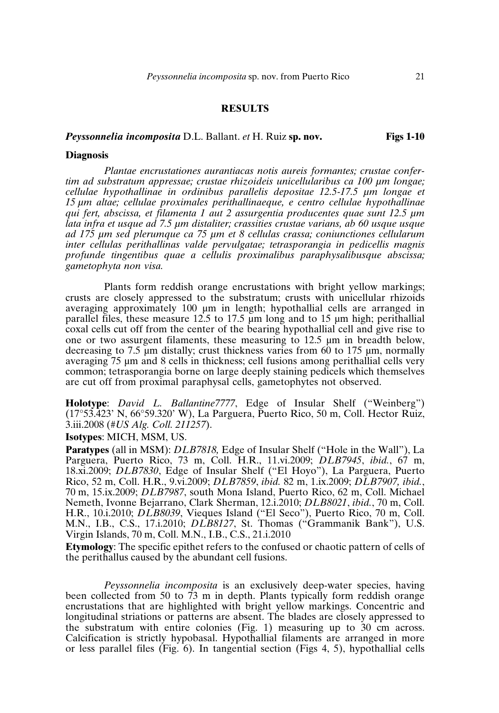# **RESULTS**

### *Peyssonnelia incomposita* D.L. Ballant. *et* H. Ruiz **sp. nov. Figs 1-10**

#### **Diagnosis**

*Plantae encrustationes aurantiacas notis aureis formantes; crustae confertim ad substratum appressae; crustae rhizoideis unicellularibus ca 100 µm longae; cellulae hypothallinae in ordinibus parallelis depositae 12.5-17.5 µm longae et 15 µm altae; cellulae proximales perithallinaeque, e centro cellulae hypothallinae qui fert, abscissa, et filamenta 1 aut 2 assurgentia producentes quae sunt 12.5 µm lata infra et usque ad 7.5 µm distaliter; crassities crustae varians, ab 60 usque usque ad 175 µm sed plerumque ca 75 µm et 8 cellulas crassa; coniunctiones cellularum inter cellulas perithallinas valde pervulgatae; tetrasporangia in pedicellis magnis profunde tingentibus quae a cellulis proximalibus paraphysalibusque abscissa; gametophyta non visa.*

Plants form reddish orange encrustations with bright yellow markings; crusts are closely appressed to the substratum; crusts with unicellular rhizoids averaging approximately 100 µm in length; hypothallial cells are arranged in parallel files, these measure 12.5 to 17.5 µm long and to 15 µm high; perithallial coxal cells cut off from the center of the bearing hypothallial cell and give rise to one or two assurgent filaments, these measuring to 12.5 µm in breadth below, decreasing to 7.5 µm distally; crust thickness varies from 60 to 175 µm, normally averaging 75 µm and 8 cells in thickness; cell fusions among perithallial cells very common; tetrasporangia borne on large deeply staining pedicels which themselves are cut off from proximal paraphysal cells, gametophytes not observed.

**Holotype**: *David L. Ballantine7777*, Edge of Insular Shelf ("Weinberg") (17°53.423' N, 66°59.320' W), La Parguera, Puerto Rico, 50 m, Coll. Hector Ruiz, 3.iii.2008 (*#US Alg. Coll. 211257*).

**Isotypes**: MICH, MSM, US.

**Paratypes** (all in MSM): *DLB7818,* Edge of Insular Shelf ("Hole in the Wall"), La Parguera, Puerto Rico, 73 m, Coll. H.R., 11.vi.2009; *DLB7945*, *ibid.*, 67 m, 18.xi.2009; *DLB7830*, Edge of Insular Shelf ("El Hoyo"), La Parguera, Puerto Rico, 52 m, Coll. H.R., 9.vi.2009; *DLB7859*, *ibid.* 82 m, 1.ix.2009; *DLB7907, ibid.*, 70 m, 15.ix.2009; *DLB7987*, south Mona Island, Puerto Rico, 62 m, Coll. Michael Nemeth, Ivonne Bejarrano, Clark Sherman, 12.i.2010; *DLB8021*, *ibid.*, 70 m, Coll. H.R., 10.i.2010; *DLB8039*, Vieques Island ("El Seco"), Puerto Rico, 70 m, Coll. M.N., I.B., C.S., 17.i.2010; *DLB8127*, St. Thomas ("Grammanik Bank"), U.S. Virgin Islands, 70 m, Coll. M.N., I.B., C.S., 21.i.2010

**Etymology**: The specific epithet refers to the confused or chaotic pattern of cells of the perithallus caused by the abundant cell fusions.

*Peyssonnelia incomposita* is an exclusively deep-water species, having been collected from 50 to 73 m in depth. Plants typically form reddish orange encrustations that are highlighted with bright yellow markings. Concentric and longitudinal striations or patterns are absent. The blades are closely appressed to the substratum with entire colonies (Fig. 1) measuring up to 30 cm across. Calcification is strictly hypobasal. Hypothallial filaments are arranged in more or less parallel files (Fig. 6). In tangential section (Figs 4, 5), hypothallial cells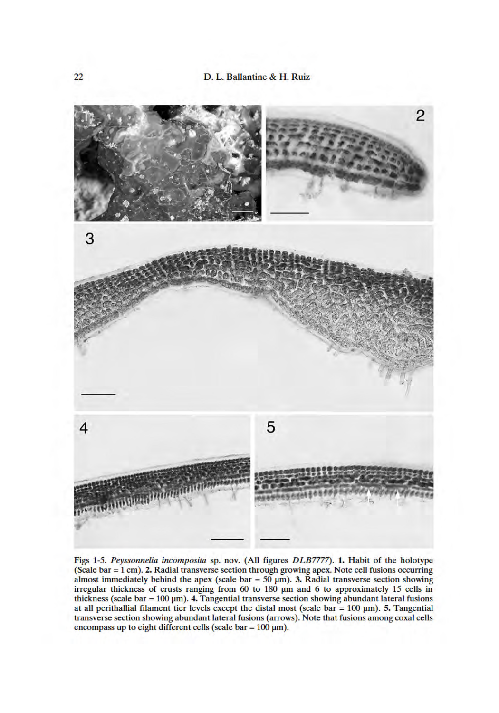

Figs 1-5. Peyssonnelia incomposita sp. nov. (All figures DLB7777). 1. Habit of the holotype (Scale bar =  $1$  cm). 2. Radial transverse section through growing apex. Note cell fusions occurring almost immediately behind the apex (scale bar =  $50 \mu m$ ). 3. Radial transverse section showing<br>irregular thickness of crusts ranging from 60 to 180  $\mu$ m and 6 to approximately 15 cells in thickness (scale bar =  $100 \mu m$ ). 4. Tangential transverse section showing abundant lateral fusions at all perithalial filament tier levels except the distal most (scale bar =  $100 \mu m$ ). 5. Tangential transverse section showing abundant lateral fusions (arrows). Note that fusions among coxal cells encompass up to eight different cells (scale bar =  $100 \mu m$ ).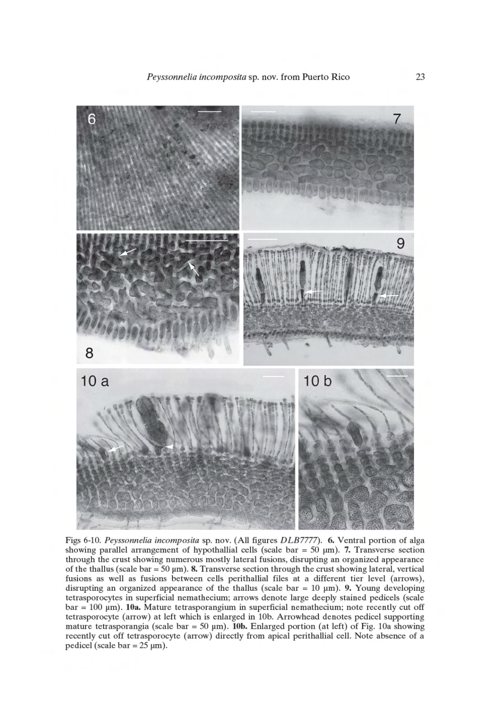

Figs 6-10. Peyssonnelia incomposita sp. nov. (All figures DLB7777). 6. Ventral portion of alga showing parallel arrangement of hypothallial cells (scale bar =  $50 \mu m$ ). 7. Transverse section through the crust showing numerous mostly lateral fusions, disrupting an organized appearance of the thallus (scale bar =  $50 \mu m$ ). 8. Transverse section through the crust showing lateral, vertical fusions as well as fusions between cells perithallial files at a different tier level (arrows), disrupting an organized appearance of the thallus (scale bar =  $10 \mu m$ ). 9. Young developing tetrasporocytes in superficial nemathecium; arrows denote large deeply stained pedicels (scale  $bar = 100 \mu m$ ). 10a. Mature tetrasporangium in superficial nemathecium; note recently cut off tetrasporocyte (arrow) at left which is enlarged in 10b. Arrowhead denotes pedicel supporting mature tetrasporangia (scale bar = 50  $\mu$ m). 10b. Enlarged portion (at left) of Fig. 10a showing recently cut off tetrasporocyte (arrow) directly from apical perithallial cell. Note absence of a pedicel (scale bar =  $25 \mu m$ ).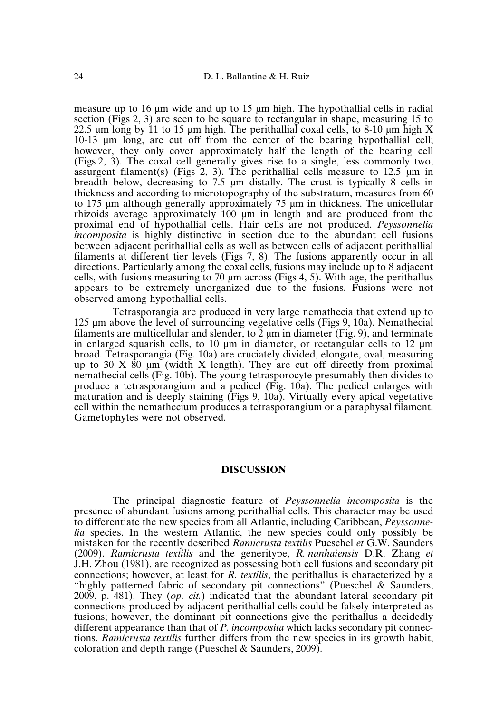measure up to 16 um wide and up to 15 um high. The hypothallial cells in radial section (Figs 2, 3) are seen to be square to rectangular in shape, measuring 15 to 22.5  $\mu$ m long by 11 to 15  $\mu$ m high. The perithallial coxal cells, to 8-10  $\mu$ m high X 10-13 µm long, are cut off from the center of the bearing hypothallial cell; however, they only cover approximately half the length of the bearing cell (Figs 2, 3). The coxal cell generally gives rise to a single, less commonly two, assurgent filament(s) (Figs 2, 3). The perithallial cells measure to  $12.5 \mu m$  in breadth below, decreasing to  $7.5 \text{ um}$  distally. The crust is typically 8 cells in thickness and according to microtopography of the substratum, measures from 60 to 175 µm although generally approximately 75 µm in thickness. The unicellular rhizoids average approximately 100 µm in length and are produced from the proximal end of hypothallial cells. Hair cells are not produced. *Peyssonnelia incomposita* is highly distinctive in section due to the abundant cell fusions between adjacent perithallial cells as well as between cells of adjacent perithallial filaments at different tier levels (Figs 7, 8). The fusions apparently occur in all directions. Particularly among the coxal cells, fusions may include up to 8 adjacent cells, with fusions measuring to  $70 \mu m$  across (Figs 4, 5). With age, the perithallus appears to be extremely unorganized due to the fusions. Fusions were not observed among hypothallial cells.

Tetrasporangia are produced in very large nemathecia that extend up to 125 µm above the level of surrounding vegetative cells (Figs 9, 10a). Nemathecial filaments are multicellular and slender, to  $\overline{2}$  µm in diameter (Fig. 9), and terminate in enlarged squarish cells, to 10  $\mu$ m in diameter, or rectangular cells to 12  $\mu$ m broad. Tetrasporangia (Fig. 10a) are cruciately divided, elongate, oval, measuring up to 30 X  $\dot{80}$  µm (width X length). They are cut off directly from proximal nemathecial cells (Fig. 10b). The young tetrasporocyte presumably then divides to produce a tetrasporangium and a pedicel (Fig. 10a). The pedicel enlarges with maturation and is deeply staining (Figs 9, 10a). Virtually every apical vegetative cell within the nemathecium produces a tetrasporangium or a paraphysal filament. Gametophytes were not observed.

#### **DISCUSSION**

The principal diagnostic feature of *Peyssonnelia incomposita* is the presence of abundant fusions among perithallial cells. This character may be used to differentiate the new species from all Atlantic, including Caribbean, *Peyssonnelia* species. In the western Atlantic, the new species could only possibly be mistaken for the recently described *Ramicrusta textilis* Pueschel *et* G.W. Saunders (2009). *Ramicrusta textilis* and the generitype, *R. nanhaiensis* D.R. Zhang *et* J.H. Zhou (1981), are recognized as possessing both cell fusions and secondary pit connections; however, at least for *R. textilis*, the perithallus is characterized by a "highly patterned fabric of secondary pit connections" (Pueschel & Saunders, 2009, p. 481). They (*op. cit.*) indicated that the abundant lateral secondary pit connections produced by adjacent perithallial cells could be falsely interpreted as fusions; however, the dominant pit connections give the perithallus a decidedly different appearance than that of *P. incomposita* which lacks secondary pit connections. *Ramicrusta textilis* further differs from the new species in its growth habit, coloration and depth range (Pueschel & Saunders, 2009).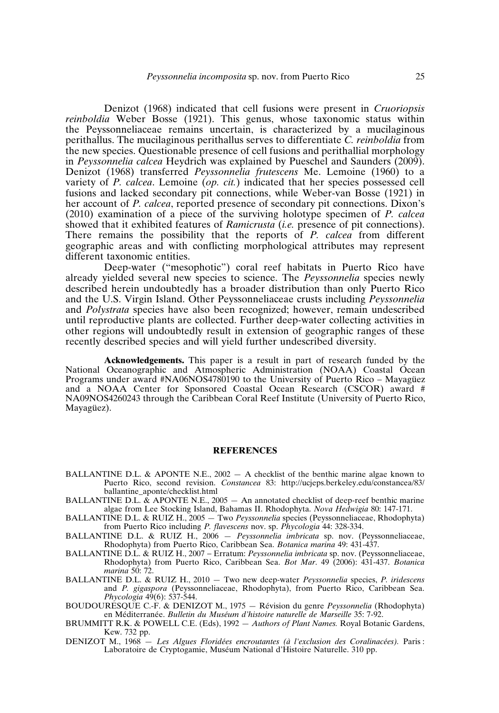Denizot (1968) indicated that cell fusions were present in *Cruoriopsis reinboldia* Weber Bosse (1921). This genus, whose taxonomic status within the Peyssonneliaceae remains uncertain, is characterized by a mucilaginous perithallus. The mucilaginous perithallus serves to differentiate *C. reinboldia* from the new species. Questionable presence of cell fusions and perithallial morphology in *Peyssonnelia calcea* Heydrich was explained by Pueschel and Saunders (2009). Denizot (1968) transferred *Peyssonnelia frutescens* Me. Lemoine (1960) to a variety of *P. calcea*. Lemoine (*op. cit.*) indicated that her species possessed cell fusions and lacked secondary pit connections, while Weber-van Bosse (1921) in her account of *P. calcea*, reported presence of secondary pit connections. Dixon's (2010) examination of a piece of the surviving holotype specimen of *P. calcea* showed that it exhibited features of *Ramicrusta* (*i.e.* presence of pit connections). There remains the possibility that the reports of *P. calcea* from different geographic areas and with conflicting morphological attributes may represent different taxonomic entities.

Deep-water ("mesophotic") coral reef habitats in Puerto Rico have already yielded several new species to science. The *Peyssonnelia* species newly described herein undoubtedly has a broader distribution than only Puerto Rico and the U.S. Virgin Island. Other Peyssonneliaceae crusts including *Peyssonnelia* and *Polystrata* species have also been recognized; however, remain undescribed until reproductive plants are collected. Further deep-water collecting activities in other regions will undoubtedly result in extension of geographic ranges of these recently described species and will yield further undescribed diversity.

**Acknowledgements.** This paper is a result in part of research funded by the National Oceanographic and Atmospheric Administration (NOAA) Coastal Ocean Programs under award #NA06NOS4780190 to the University of Puerto Rico – Mayagüez and a NOAA Center for Sponsored Coastal Ocean Research (CSCOR) award # NA09NOS4260243 through the Caribbean Coral Reef Institute (University of Puerto Rico, Mayagüez).

#### **REFERENCES**

- BALLANTINE D.L. & APONTE N.E.,  $2002 A$  checklist of the benthic marine algae known to Puerto Rico, second revision. *Constancea* 83: http://ucjeps.berkeley.edu/constancea/83/ ballantine\_aponte/checklist.html
- BALLANTINE D.L. & APONTE N.E., 2005 An annotated checklist of deep-reef benthic marine algae from Lee Stocking Island, Bahamas II. Rhodophyta. *Nova Hedwigia* 80: 147-171.
- BALLANTINE D.L. & RUIZ H., 2005 Two *Peyssonnelia* species (Peyssonneliaceae, Rhodophyta) from Puerto Rico including *P. flavescens* nov. sp. *Phycologia* 44: 328-334.
- BALLANTINE D.L. & RUIZ H., 2006 *Peyssonnelia imbricata* sp. nov. (Peyssonneliaceae, Rhodophyta) from Puerto Rico, Caribbean Sea. *Botanica marina* 49: 431-437.
- BALLANTINE D.L. & RUIZ H., 2007 − Erratum: *Peyssonnelia imbricata* sp. nov. (Peyssonneliaceae, Rhodophyta) from Puerto Rico, Caribbean Sea. *Bot Mar*. 49 (2006): 431-437. *Botanica marina* 50: 72.
- BALLANTINE D.L. & RUIZ H., 2010 Two new deep-water *Peyssonnelia* species, *P. iridescens* and *P. gigaspora* (Peyssonneliaceae, Rhodophyta), from Puerto Rico, Caribbean Sea. *Phycologia* 49(6): 537-544.
- BOUDOURESQUE C.-F. & DENIZOT M., 1975 Révision du genre *Peyssonnelia* (Rhodophyta) en Méditerranée. *Bulletin du Muséum d'histoire naturelle de Marseille* 35: 7-92.
- BRUMMITT R.K. & POWELL C.E. (Eds), 1992 *Authors of Plant Names.* Royal Botanic Gardens, Kew. 732 pp.
- DENIZOT M., 1968 *Les Algues Floridées encroutantes (à l'exclusion des Coralinacées).* Paris : Laboratoire de Cryptogamie, Muséum National d'Histoire Naturelle. 310 pp.